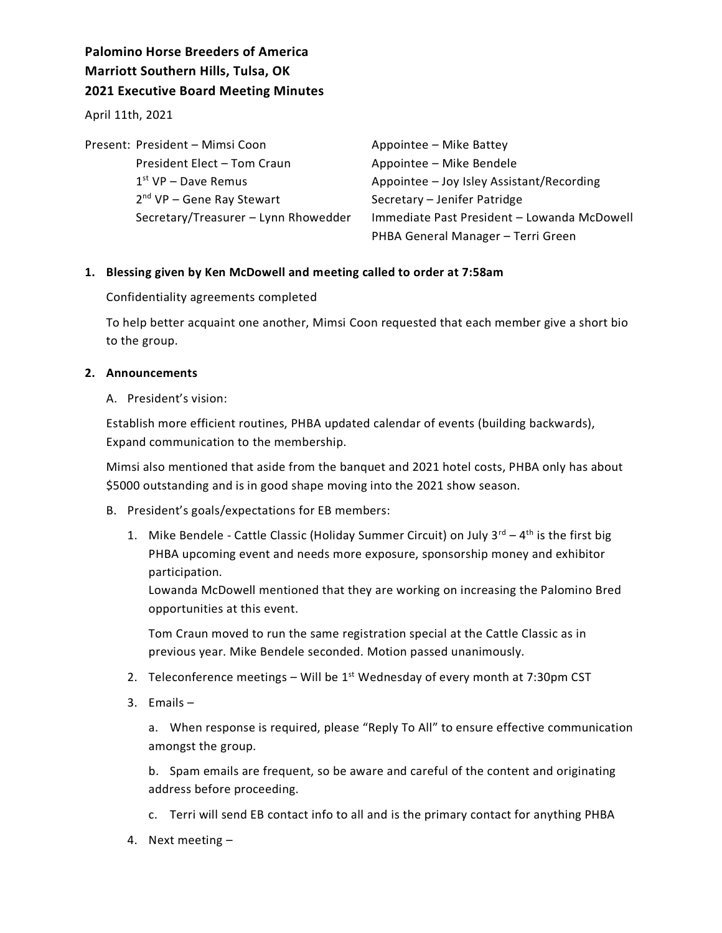# **Palomino Horse Breeders of America Marriott Southern Hills, Tulsa, OK 2021 Executive Board Meeting Minutes**

April 11th, 2021

| Present: President - Mimsi Coon      | Appointee - Mike Battey                     |
|--------------------------------------|---------------------------------------------|
| President Elect - Tom Craun          | Appointee - Mike Bendele                    |
| $1st VP - Dave Remus$                | Appointee - Joy Isley Assistant/Recording   |
| $2nd$ VP – Gene Ray Stewart          | Secretary - Jenifer Patridge                |
| Secretary/Treasurer - Lynn Rhowedder | Immediate Past President - Lowanda McDowell |
|                                      | PHBA General Manager - Terri Green          |

## **1. Blessing given by Ken McDowell and meeting called to order at 7:58am**

Confidentiality agreements completed

To help better acquaint one another, Mimsi Coon requested that each member give a short bio to the group.

## **2. Announcements**

#### A. President's vision:

Establish more efficient routines, PHBA updated calendar of events (building backwards), Expand communication to the membership.

Mimsi also mentioned that aside from the banquet and 2021 hotel costs, PHBA only has about \$5000 outstanding and is in good shape moving into the 2021 show season.

- B. President's goals/expectations for EB members:
	- 1. Mike Bendele Cattle Classic (Holiday Summer Circuit) on July  $3^{rd} 4^{th}$  is the first big PHBA upcoming event and needs more exposure, sponsorship money and exhibitor participation.

Lowanda McDowell mentioned that they are working on increasing the Palomino Bred opportunities at this event.

Tom Craun moved to run the same registration special at the Cattle Classic as in previous year. Mike Bendele seconded. Motion passed unanimously.

- 2. Teleconference meetings Will be  $1<sup>st</sup>$  Wednesday of every month at 7:30pm CST
- 3. Emails –

a. When response is required, please "Reply To All" to ensure effective communication amongst the group.

b. Spam emails are frequent, so be aware and careful of the content and originating address before proceeding.

- c. Terri will send EB contact info to all and is the primary contact for anything PHBA
- 4. Next meeting –